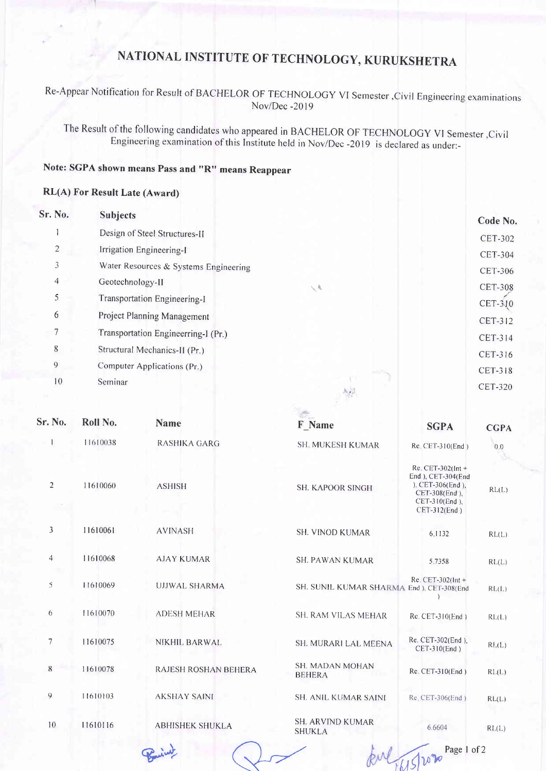# NATIONAL INSTITUTE OF TECHNOLOGY, KURUKSHETRA

Re-Appear Notification for Result of BACHELOR OF TECHNOLOGY VI Semester ,Civil Engineering examinations Nov/Dec -2019

The Result of the following candidates who appeared in BACHELOR OF TECHNOLOGY VI Semester, Civil Engineering examination of this Institute held in Nov/Dec -2019 is declared as under:-

## Note: SGPA shown means Pass and "R" means Reappear

#### RL(A) For Result Late (Award)

| Sr. No.        | <b>Subjects</b>                       |                             | Code No.       |
|----------------|---------------------------------------|-----------------------------|----------------|
|                | Design of Steel Structures-II         |                             | <b>CET-302</b> |
| 2              | Irrigation Engineering-I              |                             | <b>CET-304</b> |
| 3              | Water Resources & Systems Engineering |                             | <b>CET-306</b> |
| $\overline{4}$ | Geotechnology-II                      | $\mathcal{N}_{\mathcal{N}}$ | <b>CET-308</b> |
| 5              | Transportation Engineering-I          |                             | $CET-310$      |
| 6              | Project Planning Management           |                             | CET-312        |
|                | Transportation Engineerring-I (Pr.)   |                             | CET-314        |
| $8\phantom{1}$ | Structural Mechanics-II (Pr.)         |                             | CET-316        |
| 9              | Computer Applications (Pr.)           |                             | CET-318        |
| 10             | Seminar                               |                             | <b>CET-320</b> |

| Sr. No.        | Roll No. | <b>Name</b>            | 2012-0<br>F Name                          | <b>SGPA</b>                                                                                                         | <b>CGPA</b> |
|----------------|----------|------------------------|-------------------------------------------|---------------------------------------------------------------------------------------------------------------------|-------------|
|                | 11610038 | <b>RASHIKA GARG</b>    | <b>SH. MUKESH KUMAR</b>                   | Re. CET-310(End)                                                                                                    | 0.0         |
| $\sqrt{2}$     | 11610060 | <b>ASHISH</b>          | <b>SH. KAPOOR SINGH</b>                   | $Re$ CET-302(Int +<br>End ), CET-304(End<br>). $CET-306(End)$ ,<br>CET-308(End),<br>CET-310(End),<br>$CET-312(End)$ | RL(L)       |
| $\mathfrak{Z}$ | 11610061 | <b>AVINASH</b>         | SH. VINOD KUMAR                           | 6.1132                                                                                                              | RL(L)       |
| $\overline{4}$ | 11610068 | <b>AJAY KUMAR</b>      | <b>SH. PAWAN KUMAR</b>                    | 5.7358                                                                                                              | RL(L)       |
| 5              | 11610069 | <b>UJJWAL SHARMA</b>   | SH. SUNIL KUMAR SHARMA End ). CET-308(End | Re. $CET-302$ (Int +                                                                                                | RL(L)       |
| 6              | 11610070 | <b>ADESH MEHAR</b>     | SH. RAM VILAS MEHAR                       | Re. CET-310(End)                                                                                                    | RL(L)       |
| $\overline{7}$ | 11610075 | NIKHIL BARWAL          | SH. MURARI LAL MEENA                      | Re. CET-302(End),<br>CET-310(End)                                                                                   | RL(L)       |
| 8              | 11610078 | RAJESH ROSHAN BEHERA   | <b>SH. MADAN MOHAN</b><br><b>BEHERA</b>   | Re. CET-310(End)                                                                                                    | RL(L)       |
| 9              | 11610103 | <b>AKSHAY SAINI</b>    | <b>SH. ANIL KUMAR SAINI</b>               | Re. CET-306(End)                                                                                                    | RL(L)       |
| 10             | 11610116 | <b>ABHISHEK SHUKLA</b> | <b>SH. ARVIND KUMAR</b><br><b>SHUKLA</b>  | 6.6604                                                                                                              | RL(L)       |
|                |          |                        |                                           | Page 1 of 2<br>12020<br>M5                                                                                          |             |
|                |          |                        |                                           |                                                                                                                     |             |